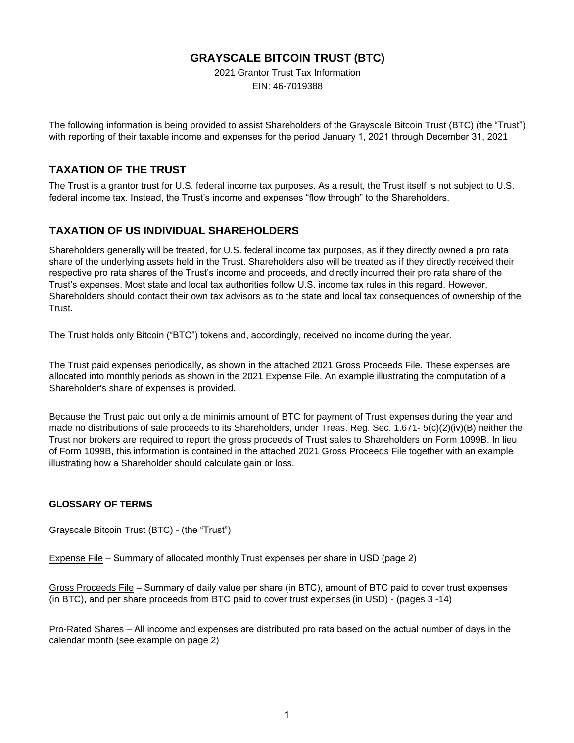## **GRAYSCALE BITCOIN TRUST (BTC)**

2021 Grantor Trust Tax Information EIN: 46-7019388

The following information is being provided to assist Shareholders of the Grayscale Bitcoin Trust (BTC) (the "Trust") with reporting of their taxable income and expenses for the period January 1, 2021 through December 31, 2021

## **TAXATION OF THE TRUST**

The Trust is a grantor trust for U.S. federal income tax purposes. As a result, the Trust itself is not subject to U.S. federal income tax. Instead, the Trust's income and expenses "flow through" to the Shareholders.

## **TAXATION OF US INDIVIDUAL SHAREHOLDERS**

Shareholders generally will be treated, for U.S. federal income tax purposes, as if they directly owned a pro rata share of the underlying assets held in the Trust. Shareholders also will be treated as if they directly received their respective pro rata shares of the Trust's income and proceeds, and directly incurred their pro rata share of the Trust's expenses. Most state and local tax authorities follow U.S. income tax rules in this regard. However, Shareholders should contact their own tax advisors as to the state and local tax consequences of ownership of the Trust.

The Trust holds only Bitcoin ("BTC") tokens and, accordingly, received no income during the year.

The Trust paid expenses periodically, as shown in the attached 2021 Gross Proceeds File. These expenses are allocated into monthly periods as shown in the 2021 Expense File. An example illustrating the computation of a Shareholder's share of expenses is provided.

Because the Trust paid out only a de minimis amount of BTC for payment of Trust expenses during the year and made no distributions of sale proceeds to its Shareholders, under Treas. Reg. Sec. 1.671- 5(c)(2)(iv)(B) neither the Trust nor brokers are required to report the gross proceeds of Trust sales to Shareholders on Form 1099B. In lieu of Form 1099B, this information is contained in the attached 2021 Gross Proceeds File together with an example illustrating how a Shareholder should calculate gain or loss.

## **GLOSSARY OF TERMS**

Grayscale Bitcoin Trust (BTC) - (the "Trust")

Expense File – Summary of allocated monthly Trust expenses per share in USD (page 2)

Gross Proceeds File – Summary of daily value per share (in BTC), amount of BTC paid to cover trust expenses (in BTC), and per share proceeds from BTC paid to cover trust expenses (in USD) - (pages 3 -14)

Pro-Rated Shares – All income and expenses are distributed pro rata based on the actual number of days in the calendar month (see example on page 2)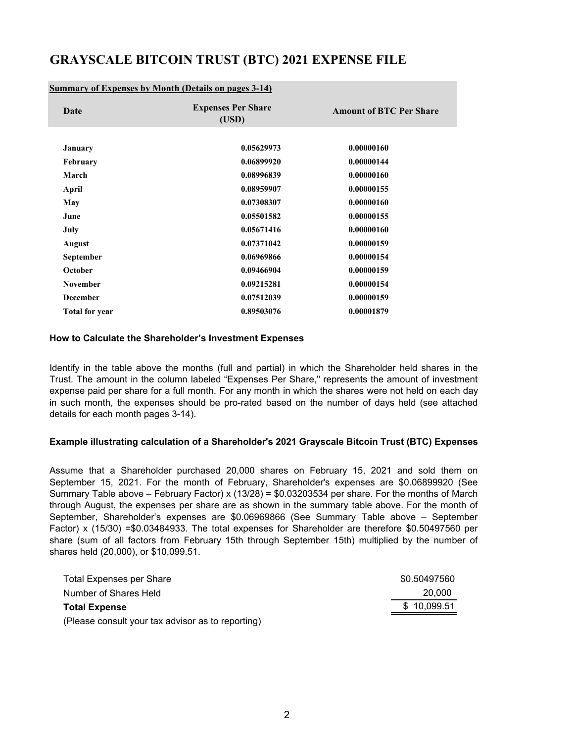## **GRAYSCALE BITCOIN TRUST (BTC) 2021 EXPENSE FILE**

### **Summary of Expenses by Month (Details on pages 3-14)**

| Date                  | <b>Expenses Per Share</b><br>(USD) | <b>Amount of BTC Per Share</b> |  |
|-----------------------|------------------------------------|--------------------------------|--|
|                       |                                    |                                |  |
| January               | 0.05629973                         | 0.00000160                     |  |
| <b>February</b>       | 0.06899920                         | 0.00000144                     |  |
| March                 | 0.08996839                         | 0.00000160                     |  |
| April                 | 0.08959907                         | 0.00000155                     |  |
| May                   | 0.07308307                         | 0.00000160                     |  |
| June                  | 0.05501582                         | 0.00000155                     |  |
| July                  | 0.05671416                         | 0.00000160                     |  |
| <b>August</b>         | 0.07371042                         | 0.00000159                     |  |
| September             | 0.06969866                         | 0.00000154                     |  |
| October               | 0.09466904                         | 0.00000159                     |  |
| <b>November</b>       | 0.09215281                         | 0.00000154                     |  |
| <b>December</b>       | 0.07512039                         | 0.00000159                     |  |
| <b>Total for year</b> | 0.89503076                         | 0.00001879                     |  |
|                       |                                    |                                |  |

#### **How to Calculate the Shareholder's Investment Expenses**

Identify in the table above the months (full and partial) in which the Shareholder held shares in the Trust. The amount in the column labeled "Expenses Per Share," represents the amount of investment expense paid per share for a full month. For any month in which the shares were not held on each day in such month, the expenses should be pro-rated based on the number of days held (see attached details for each month pages 3-14).

### **Example illustrating calculation of a Shareholder's 2021 Grayscale Bitcoin Trust (BTC) Expenses**

Assume that a Shareholder purchased 20,000 shares on February 15, 2021 and sold them on September 15, 2021. For the month of February, Shareholder's expenses are \$0.06899920 (See Summary Table above – February Factor) x (13/28) =  $$0.03203534$  per share. For the months of March through August, the expenses per share are as shown in the summary table above. For the month of September, Shareholder's expenses are \$0.06969866 (See Summary Table above – September Factor) x (15/30) =\$0.03484933. The total expenses for Shareholder are therefore \$0.50497560 per share (sum of all factors from February 15th through September 15th) multiplied by the number of shares held (20,000), or \$10,099.51.

| <b>Total Expenses per Share</b>                   | \$0.50497560 |
|---------------------------------------------------|--------------|
| Number of Shares Held                             | 20,000       |
| <b>Total Expense</b>                              | \$10,099.51  |
| (Please consult your tax advisor as to reporting) |              |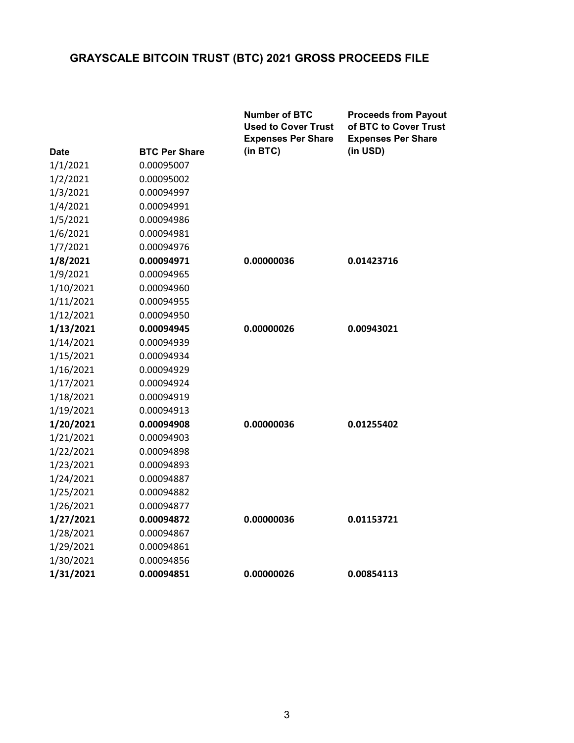|           |                      | <b>Number of BTC</b><br><b>Used to Cover Trust</b><br><b>Expenses Per Share</b> | <b>Proceeds from Payout</b><br>of BTC to Cover Trust<br><b>Expenses Per Share</b> |
|-----------|----------------------|---------------------------------------------------------------------------------|-----------------------------------------------------------------------------------|
| Date      | <b>BTC Per Share</b> | (in BTC)                                                                        | (in USD)                                                                          |
| 1/1/2021  | 0.00095007           |                                                                                 |                                                                                   |
| 1/2/2021  | 0.00095002           |                                                                                 |                                                                                   |
| 1/3/2021  | 0.00094997           |                                                                                 |                                                                                   |
| 1/4/2021  | 0.00094991           |                                                                                 |                                                                                   |
| 1/5/2021  | 0.00094986           |                                                                                 |                                                                                   |
| 1/6/2021  | 0.00094981           |                                                                                 |                                                                                   |
| 1/7/2021  | 0.00094976           |                                                                                 |                                                                                   |
| 1/8/2021  | 0.00094971           | 0.00000036                                                                      | 0.01423716                                                                        |
| 1/9/2021  | 0.00094965           |                                                                                 |                                                                                   |
| 1/10/2021 | 0.00094960           |                                                                                 |                                                                                   |
| 1/11/2021 | 0.00094955           |                                                                                 |                                                                                   |
| 1/12/2021 | 0.00094950           |                                                                                 |                                                                                   |
| 1/13/2021 | 0.00094945           | 0.00000026                                                                      | 0.00943021                                                                        |
| 1/14/2021 | 0.00094939           |                                                                                 |                                                                                   |
| 1/15/2021 | 0.00094934           |                                                                                 |                                                                                   |
| 1/16/2021 | 0.00094929           |                                                                                 |                                                                                   |
| 1/17/2021 | 0.00094924           |                                                                                 |                                                                                   |
| 1/18/2021 | 0.00094919           |                                                                                 |                                                                                   |
| 1/19/2021 | 0.00094913           |                                                                                 |                                                                                   |
| 1/20/2021 | 0.00094908           | 0.00000036                                                                      | 0.01255402                                                                        |
| 1/21/2021 | 0.00094903           |                                                                                 |                                                                                   |
| 1/22/2021 | 0.00094898           |                                                                                 |                                                                                   |
| 1/23/2021 | 0.00094893           |                                                                                 |                                                                                   |
| 1/24/2021 | 0.00094887           |                                                                                 |                                                                                   |
| 1/25/2021 | 0.00094882           |                                                                                 |                                                                                   |
| 1/26/2021 | 0.00094877           |                                                                                 |                                                                                   |
| 1/27/2021 | 0.00094872           | 0.00000036                                                                      | 0.01153721                                                                        |
| 1/28/2021 | 0.00094867           |                                                                                 |                                                                                   |
| 1/29/2021 | 0.00094861           |                                                                                 |                                                                                   |
| 1/30/2021 | 0.00094856           |                                                                                 |                                                                                   |
| 1/31/2021 | 0.00094851           | 0.00000026                                                                      | 0.00854113                                                                        |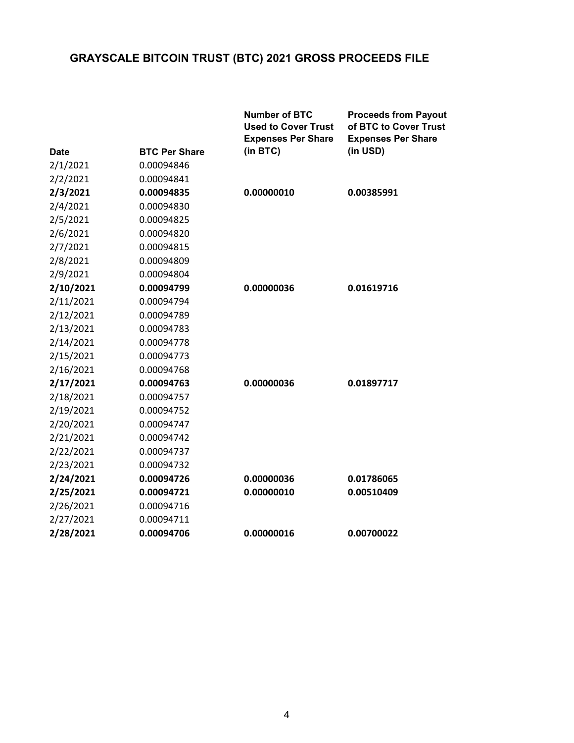|             |                      | <b>Number of BTC</b><br><b>Used to Cover Trust</b><br><b>Expenses Per Share</b> | <b>Proceeds from Payout</b><br>of BTC to Cover Trust<br><b>Expenses Per Share</b> |
|-------------|----------------------|---------------------------------------------------------------------------------|-----------------------------------------------------------------------------------|
| <b>Date</b> | <b>BTC Per Share</b> | (in BTC)                                                                        | (in USD)                                                                          |
| 2/1/2021    | 0.00094846           |                                                                                 |                                                                                   |
| 2/2/2021    | 0.00094841           |                                                                                 |                                                                                   |
| 2/3/2021    | 0.00094835           | 0.00000010                                                                      | 0.00385991                                                                        |
| 2/4/2021    | 0.00094830           |                                                                                 |                                                                                   |
| 2/5/2021    | 0.00094825           |                                                                                 |                                                                                   |
| 2/6/2021    | 0.00094820           |                                                                                 |                                                                                   |
| 2/7/2021    | 0.00094815           |                                                                                 |                                                                                   |
| 2/8/2021    | 0.00094809           |                                                                                 |                                                                                   |
| 2/9/2021    | 0.00094804           |                                                                                 |                                                                                   |
| 2/10/2021   | 0.00094799           | 0.00000036                                                                      | 0.01619716                                                                        |
| 2/11/2021   | 0.00094794           |                                                                                 |                                                                                   |
| 2/12/2021   | 0.00094789           |                                                                                 |                                                                                   |
| 2/13/2021   | 0.00094783           |                                                                                 |                                                                                   |
| 2/14/2021   | 0.00094778           |                                                                                 |                                                                                   |
| 2/15/2021   | 0.00094773           |                                                                                 |                                                                                   |
| 2/16/2021   | 0.00094768           |                                                                                 |                                                                                   |
| 2/17/2021   | 0.00094763           | 0.00000036                                                                      | 0.01897717                                                                        |
| 2/18/2021   | 0.00094757           |                                                                                 |                                                                                   |
| 2/19/2021   | 0.00094752           |                                                                                 |                                                                                   |
| 2/20/2021   | 0.00094747           |                                                                                 |                                                                                   |
| 2/21/2021   | 0.00094742           |                                                                                 |                                                                                   |
| 2/22/2021   | 0.00094737           |                                                                                 |                                                                                   |
| 2/23/2021   | 0.00094732           |                                                                                 |                                                                                   |
| 2/24/2021   | 0.00094726           | 0.00000036                                                                      | 0.01786065                                                                        |
| 2/25/2021   | 0.00094721           | 0.00000010                                                                      | 0.00510409                                                                        |
| 2/26/2021   | 0.00094716           |                                                                                 |                                                                                   |
| 2/27/2021   | 0.00094711           |                                                                                 |                                                                                   |
| 2/28/2021   | 0.00094706           | 0.00000016                                                                      | 0.00700022                                                                        |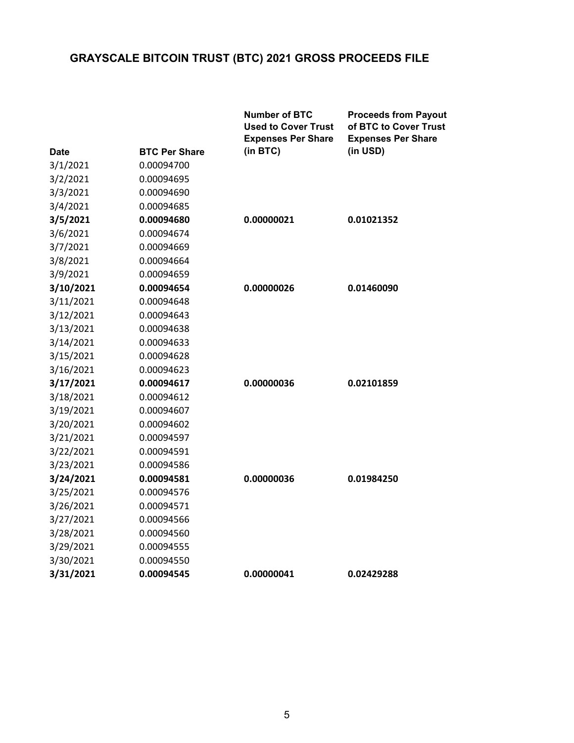|           |                      | <b>Number of BTC</b><br><b>Used to Cover Trust</b><br><b>Expenses Per Share</b> | <b>Proceeds from Payout</b><br>of BTC to Cover Trust<br><b>Expenses Per Share</b> |
|-----------|----------------------|---------------------------------------------------------------------------------|-----------------------------------------------------------------------------------|
| Date      | <b>BTC Per Share</b> | (in BTC)                                                                        | (in USD)                                                                          |
| 3/1/2021  | 0.00094700           |                                                                                 |                                                                                   |
| 3/2/2021  | 0.00094695           |                                                                                 |                                                                                   |
| 3/3/2021  | 0.00094690           |                                                                                 |                                                                                   |
| 3/4/2021  | 0.00094685           |                                                                                 |                                                                                   |
| 3/5/2021  | 0.00094680           | 0.00000021                                                                      | 0.01021352                                                                        |
| 3/6/2021  | 0.00094674           |                                                                                 |                                                                                   |
| 3/7/2021  | 0.00094669           |                                                                                 |                                                                                   |
| 3/8/2021  | 0.00094664           |                                                                                 |                                                                                   |
| 3/9/2021  | 0.00094659           |                                                                                 |                                                                                   |
| 3/10/2021 | 0.00094654           | 0.00000026                                                                      | 0.01460090                                                                        |
| 3/11/2021 | 0.00094648           |                                                                                 |                                                                                   |
| 3/12/2021 | 0.00094643           |                                                                                 |                                                                                   |
| 3/13/2021 | 0.00094638           |                                                                                 |                                                                                   |
| 3/14/2021 | 0.00094633           |                                                                                 |                                                                                   |
| 3/15/2021 | 0.00094628           |                                                                                 |                                                                                   |
| 3/16/2021 | 0.00094623           |                                                                                 |                                                                                   |
| 3/17/2021 | 0.00094617           | 0.00000036                                                                      | 0.02101859                                                                        |
| 3/18/2021 | 0.00094612           |                                                                                 |                                                                                   |
| 3/19/2021 | 0.00094607           |                                                                                 |                                                                                   |
| 3/20/2021 | 0.00094602           |                                                                                 |                                                                                   |
| 3/21/2021 | 0.00094597           |                                                                                 |                                                                                   |
| 3/22/2021 | 0.00094591           |                                                                                 |                                                                                   |
| 3/23/2021 | 0.00094586           |                                                                                 |                                                                                   |
| 3/24/2021 | 0.00094581           | 0.00000036                                                                      | 0.01984250                                                                        |
| 3/25/2021 | 0.00094576           |                                                                                 |                                                                                   |
| 3/26/2021 | 0.00094571           |                                                                                 |                                                                                   |
| 3/27/2021 | 0.00094566           |                                                                                 |                                                                                   |
| 3/28/2021 | 0.00094560           |                                                                                 |                                                                                   |
| 3/29/2021 | 0.00094555           |                                                                                 |                                                                                   |
| 3/30/2021 | 0.00094550           |                                                                                 |                                                                                   |
| 3/31/2021 | 0.00094545           | 0.00000041                                                                      | 0.02429288                                                                        |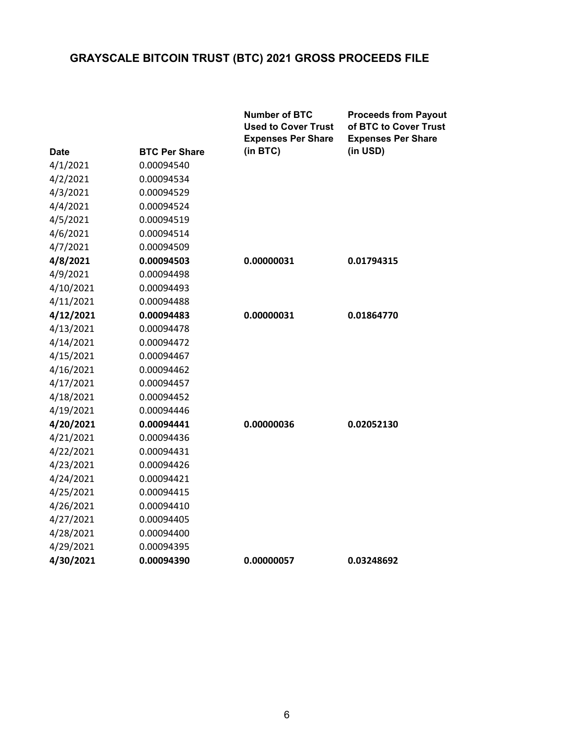|             |                      | <b>Number of BTC</b><br><b>Used to Cover Trust</b><br><b>Expenses Per Share</b> | <b>Proceeds from Payout</b><br>of BTC to Cover Trust<br><b>Expenses Per Share</b> |
|-------------|----------------------|---------------------------------------------------------------------------------|-----------------------------------------------------------------------------------|
| <b>Date</b> | <b>BTC Per Share</b> | (in BTC)                                                                        | (in USD)                                                                          |
| 4/1/2021    | 0.00094540           |                                                                                 |                                                                                   |
| 4/2/2021    | 0.00094534           |                                                                                 |                                                                                   |
| 4/3/2021    | 0.00094529           |                                                                                 |                                                                                   |
| 4/4/2021    | 0.00094524           |                                                                                 |                                                                                   |
| 4/5/2021    | 0.00094519           |                                                                                 |                                                                                   |
| 4/6/2021    | 0.00094514           |                                                                                 |                                                                                   |
| 4/7/2021    | 0.00094509           |                                                                                 |                                                                                   |
| 4/8/2021    | 0.00094503           | 0.00000031                                                                      | 0.01794315                                                                        |
| 4/9/2021    | 0.00094498           |                                                                                 |                                                                                   |
| 4/10/2021   | 0.00094493           |                                                                                 |                                                                                   |
| 4/11/2021   | 0.00094488           |                                                                                 |                                                                                   |
| 4/12/2021   | 0.00094483           | 0.00000031                                                                      | 0.01864770                                                                        |
| 4/13/2021   | 0.00094478           |                                                                                 |                                                                                   |
| 4/14/2021   | 0.00094472           |                                                                                 |                                                                                   |
| 4/15/2021   | 0.00094467           |                                                                                 |                                                                                   |
| 4/16/2021   | 0.00094462           |                                                                                 |                                                                                   |
| 4/17/2021   | 0.00094457           |                                                                                 |                                                                                   |
| 4/18/2021   | 0.00094452           |                                                                                 |                                                                                   |
| 4/19/2021   | 0.00094446           |                                                                                 |                                                                                   |
| 4/20/2021   | 0.00094441           | 0.00000036                                                                      | 0.02052130                                                                        |
| 4/21/2021   | 0.00094436           |                                                                                 |                                                                                   |
| 4/22/2021   | 0.00094431           |                                                                                 |                                                                                   |
| 4/23/2021   | 0.00094426           |                                                                                 |                                                                                   |
| 4/24/2021   | 0.00094421           |                                                                                 |                                                                                   |
| 4/25/2021   | 0.00094415           |                                                                                 |                                                                                   |
| 4/26/2021   | 0.00094410           |                                                                                 |                                                                                   |
| 4/27/2021   | 0.00094405           |                                                                                 |                                                                                   |
| 4/28/2021   | 0.00094400           |                                                                                 |                                                                                   |
| 4/29/2021   | 0.00094395           |                                                                                 |                                                                                   |
| 4/30/2021   | 0.00094390           | 0.00000057                                                                      | 0.03248692                                                                        |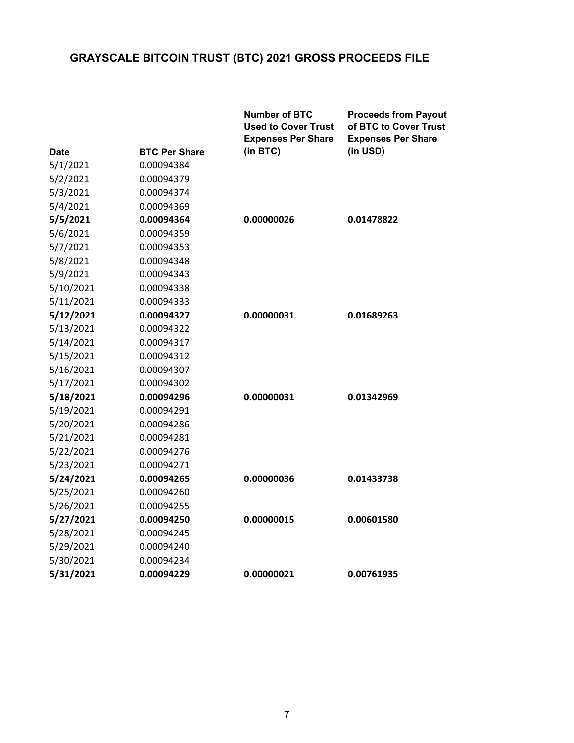|           |                      | <b>Number of BTC</b><br><b>Used to Cover Trust</b><br><b>Expenses Per Share</b> | <b>Proceeds from Payout</b><br>of BTC to Cover Trust<br><b>Expenses Per Share</b> |
|-----------|----------------------|---------------------------------------------------------------------------------|-----------------------------------------------------------------------------------|
| Date      | <b>BTC Per Share</b> | (in BTC)                                                                        | (in USD)                                                                          |
| 5/1/2021  | 0.00094384           |                                                                                 |                                                                                   |
| 5/2/2021  | 0.00094379           |                                                                                 |                                                                                   |
| 5/3/2021  | 0.00094374           |                                                                                 |                                                                                   |
| 5/4/2021  | 0.00094369           |                                                                                 |                                                                                   |
| 5/5/2021  | 0.00094364           | 0.00000026                                                                      | 0.01478822                                                                        |
| 5/6/2021  | 0.00094359           |                                                                                 |                                                                                   |
| 5/7/2021  | 0.00094353           |                                                                                 |                                                                                   |
| 5/8/2021  | 0.00094348           |                                                                                 |                                                                                   |
| 5/9/2021  | 0.00094343           |                                                                                 |                                                                                   |
| 5/10/2021 | 0.00094338           |                                                                                 |                                                                                   |
| 5/11/2021 | 0.00094333           |                                                                                 |                                                                                   |
| 5/12/2021 | 0.00094327           | 0.00000031                                                                      | 0.01689263                                                                        |
| 5/13/2021 | 0.00094322           |                                                                                 |                                                                                   |
| 5/14/2021 | 0.00094317           |                                                                                 |                                                                                   |
| 5/15/2021 | 0.00094312           |                                                                                 |                                                                                   |
| 5/16/2021 | 0.00094307           |                                                                                 |                                                                                   |
| 5/17/2021 | 0.00094302           |                                                                                 |                                                                                   |
| 5/18/2021 | 0.00094296           | 0.00000031                                                                      | 0.01342969                                                                        |
| 5/19/2021 | 0.00094291           |                                                                                 |                                                                                   |
| 5/20/2021 | 0.00094286           |                                                                                 |                                                                                   |
| 5/21/2021 | 0.00094281           |                                                                                 |                                                                                   |
| 5/22/2021 | 0.00094276           |                                                                                 |                                                                                   |
| 5/23/2021 | 0.00094271           |                                                                                 |                                                                                   |
| 5/24/2021 | 0.00094265           | 0.00000036                                                                      | 0.01433738                                                                        |
| 5/25/2021 | 0.00094260           |                                                                                 |                                                                                   |
| 5/26/2021 | 0.00094255           |                                                                                 |                                                                                   |
| 5/27/2021 | 0.00094250           | 0.00000015                                                                      | 0.00601580                                                                        |
| 5/28/2021 | 0.00094245           |                                                                                 |                                                                                   |
| 5/29/2021 | 0.00094240           |                                                                                 |                                                                                   |
| 5/30/2021 | 0.00094234           |                                                                                 |                                                                                   |
| 5/31/2021 | 0.00094229           | 0.00000021                                                                      | 0.00761935                                                                        |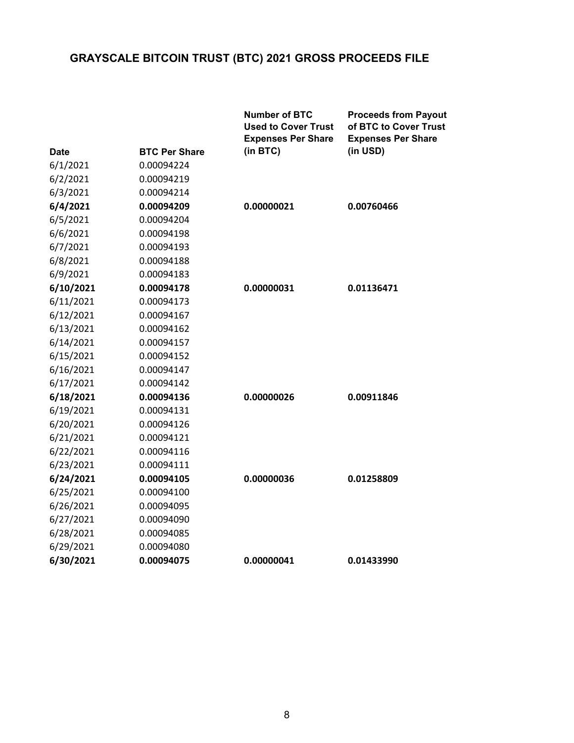|             |                      | <b>Number of BTC</b><br><b>Used to Cover Trust</b><br><b>Expenses Per Share</b> | <b>Proceeds from Payout</b><br>of BTC to Cover Trust<br><b>Expenses Per Share</b> |
|-------------|----------------------|---------------------------------------------------------------------------------|-----------------------------------------------------------------------------------|
| <b>Date</b> | <b>BTC Per Share</b> | (in BTC)                                                                        | (in USD)                                                                          |
| 6/1/2021    | 0.00094224           |                                                                                 |                                                                                   |
| 6/2/2021    | 0.00094219           |                                                                                 |                                                                                   |
| 6/3/2021    | 0.00094214           |                                                                                 |                                                                                   |
| 6/4/2021    | 0.00094209           | 0.00000021                                                                      | 0.00760466                                                                        |
| 6/5/2021    | 0.00094204           |                                                                                 |                                                                                   |
| 6/6/2021    | 0.00094198           |                                                                                 |                                                                                   |
| 6/7/2021    | 0.00094193           |                                                                                 |                                                                                   |
| 6/8/2021    | 0.00094188           |                                                                                 |                                                                                   |
| 6/9/2021    | 0.00094183           |                                                                                 |                                                                                   |
| 6/10/2021   | 0.00094178           | 0.00000031                                                                      | 0.01136471                                                                        |
| 6/11/2021   | 0.00094173           |                                                                                 |                                                                                   |
| 6/12/2021   | 0.00094167           |                                                                                 |                                                                                   |
| 6/13/2021   | 0.00094162           |                                                                                 |                                                                                   |
| 6/14/2021   | 0.00094157           |                                                                                 |                                                                                   |
| 6/15/2021   | 0.00094152           |                                                                                 |                                                                                   |
| 6/16/2021   | 0.00094147           |                                                                                 |                                                                                   |
| 6/17/2021   | 0.00094142           |                                                                                 |                                                                                   |
| 6/18/2021   | 0.00094136           | 0.00000026                                                                      | 0.00911846                                                                        |
| 6/19/2021   | 0.00094131           |                                                                                 |                                                                                   |
| 6/20/2021   | 0.00094126           |                                                                                 |                                                                                   |
| 6/21/2021   | 0.00094121           |                                                                                 |                                                                                   |
| 6/22/2021   | 0.00094116           |                                                                                 |                                                                                   |
| 6/23/2021   | 0.00094111           |                                                                                 |                                                                                   |
| 6/24/2021   | 0.00094105           | 0.00000036                                                                      | 0.01258809                                                                        |
| 6/25/2021   | 0.00094100           |                                                                                 |                                                                                   |
| 6/26/2021   | 0.00094095           |                                                                                 |                                                                                   |
| 6/27/2021   | 0.00094090           |                                                                                 |                                                                                   |
| 6/28/2021   | 0.00094085           |                                                                                 |                                                                                   |
| 6/29/2021   | 0.00094080           |                                                                                 |                                                                                   |
| 6/30/2021   | 0.00094075           | 0.00000041                                                                      | 0.01433990                                                                        |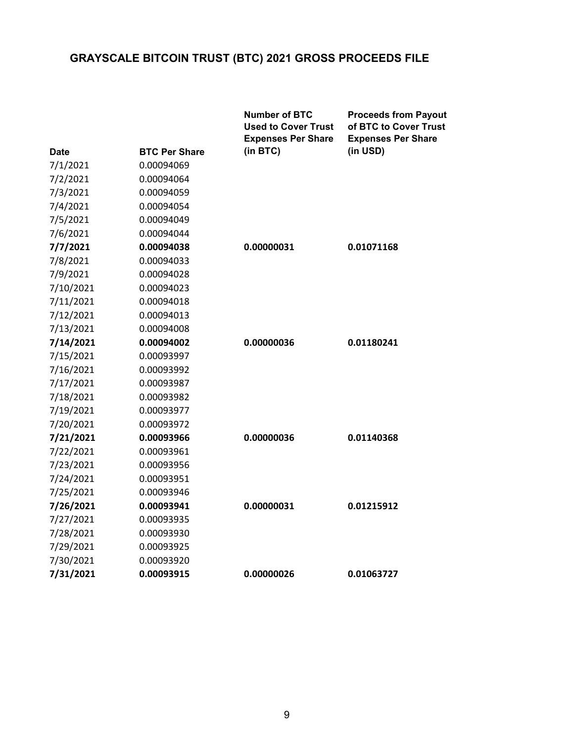|             |                      | <b>Number of BTC</b><br><b>Used to Cover Trust</b><br><b>Expenses Per Share</b> | <b>Proceeds from Payout</b><br>of BTC to Cover Trust<br><b>Expenses Per Share</b> |
|-------------|----------------------|---------------------------------------------------------------------------------|-----------------------------------------------------------------------------------|
| <b>Date</b> | <b>BTC Per Share</b> | (in BTC)                                                                        | (in USD)                                                                          |
| 7/1/2021    | 0.00094069           |                                                                                 |                                                                                   |
| 7/2/2021    | 0.00094064           |                                                                                 |                                                                                   |
| 7/3/2021    | 0.00094059           |                                                                                 |                                                                                   |
| 7/4/2021    | 0.00094054           |                                                                                 |                                                                                   |
| 7/5/2021    | 0.00094049           |                                                                                 |                                                                                   |
| 7/6/2021    | 0.00094044           |                                                                                 |                                                                                   |
| 7/7/2021    | 0.00094038           | 0.00000031                                                                      | 0.01071168                                                                        |
| 7/8/2021    | 0.00094033           |                                                                                 |                                                                                   |
| 7/9/2021    | 0.00094028           |                                                                                 |                                                                                   |
| 7/10/2021   | 0.00094023           |                                                                                 |                                                                                   |
| 7/11/2021   | 0.00094018           |                                                                                 |                                                                                   |
| 7/12/2021   | 0.00094013           |                                                                                 |                                                                                   |
| 7/13/2021   | 0.00094008           |                                                                                 |                                                                                   |
| 7/14/2021   | 0.00094002           | 0.00000036                                                                      | 0.01180241                                                                        |
| 7/15/2021   | 0.00093997           |                                                                                 |                                                                                   |
| 7/16/2021   | 0.00093992           |                                                                                 |                                                                                   |
| 7/17/2021   | 0.00093987           |                                                                                 |                                                                                   |
| 7/18/2021   | 0.00093982           |                                                                                 |                                                                                   |
| 7/19/2021   | 0.00093977           |                                                                                 |                                                                                   |
| 7/20/2021   | 0.00093972           |                                                                                 |                                                                                   |
| 7/21/2021   | 0.00093966           | 0.00000036                                                                      | 0.01140368                                                                        |
| 7/22/2021   | 0.00093961           |                                                                                 |                                                                                   |
| 7/23/2021   | 0.00093956           |                                                                                 |                                                                                   |
| 7/24/2021   | 0.00093951           |                                                                                 |                                                                                   |
| 7/25/2021   | 0.00093946           |                                                                                 |                                                                                   |
| 7/26/2021   | 0.00093941           | 0.00000031                                                                      | 0.01215912                                                                        |
| 7/27/2021   | 0.00093935           |                                                                                 |                                                                                   |
| 7/28/2021   | 0.00093930           |                                                                                 |                                                                                   |
| 7/29/2021   | 0.00093925           |                                                                                 |                                                                                   |
| 7/30/2021   | 0.00093920           |                                                                                 |                                                                                   |
| 7/31/2021   | 0.00093915           | 0.00000026                                                                      | 0.01063727                                                                        |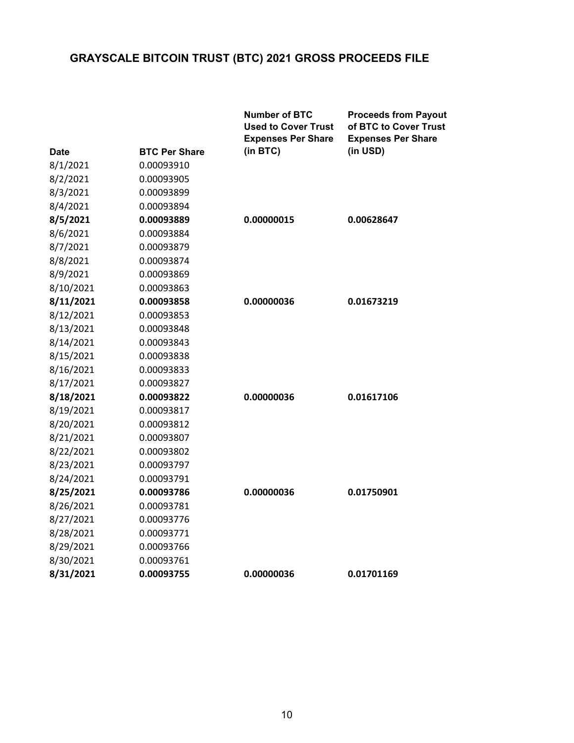|             |                      | <b>Number of BTC</b><br><b>Used to Cover Trust</b><br><b>Expenses Per Share</b> | <b>Proceeds from Payout</b><br>of BTC to Cover Trust<br><b>Expenses Per Share</b> |
|-------------|----------------------|---------------------------------------------------------------------------------|-----------------------------------------------------------------------------------|
| <b>Date</b> | <b>BTC Per Share</b> | (in BTC)                                                                        | (in USD)                                                                          |
| 8/1/2021    | 0.00093910           |                                                                                 |                                                                                   |
| 8/2/2021    | 0.00093905           |                                                                                 |                                                                                   |
| 8/3/2021    | 0.00093899           |                                                                                 |                                                                                   |
| 8/4/2021    | 0.00093894           |                                                                                 |                                                                                   |
| 8/5/2021    | 0.00093889           | 0.00000015                                                                      | 0.00628647                                                                        |
| 8/6/2021    | 0.00093884           |                                                                                 |                                                                                   |
| 8/7/2021    | 0.00093879           |                                                                                 |                                                                                   |
| 8/8/2021    | 0.00093874           |                                                                                 |                                                                                   |
| 8/9/2021    | 0.00093869           |                                                                                 |                                                                                   |
| 8/10/2021   | 0.00093863           |                                                                                 |                                                                                   |
| 8/11/2021   | 0.00093858           | 0.00000036                                                                      | 0.01673219                                                                        |
| 8/12/2021   | 0.00093853           |                                                                                 |                                                                                   |
| 8/13/2021   | 0.00093848           |                                                                                 |                                                                                   |
| 8/14/2021   | 0.00093843           |                                                                                 |                                                                                   |
| 8/15/2021   | 0.00093838           |                                                                                 |                                                                                   |
| 8/16/2021   | 0.00093833           |                                                                                 |                                                                                   |
| 8/17/2021   | 0.00093827           |                                                                                 |                                                                                   |
| 8/18/2021   | 0.00093822           | 0.00000036                                                                      | 0.01617106                                                                        |
| 8/19/2021   | 0.00093817           |                                                                                 |                                                                                   |
| 8/20/2021   | 0.00093812           |                                                                                 |                                                                                   |
| 8/21/2021   | 0.00093807           |                                                                                 |                                                                                   |
| 8/22/2021   | 0.00093802           |                                                                                 |                                                                                   |
| 8/23/2021   | 0.00093797           |                                                                                 |                                                                                   |
| 8/24/2021   | 0.00093791           |                                                                                 |                                                                                   |
| 8/25/2021   | 0.00093786           | 0.00000036                                                                      | 0.01750901                                                                        |
| 8/26/2021   | 0.00093781           |                                                                                 |                                                                                   |
| 8/27/2021   | 0.00093776           |                                                                                 |                                                                                   |
| 8/28/2021   | 0.00093771           |                                                                                 |                                                                                   |
| 8/29/2021   | 0.00093766           |                                                                                 |                                                                                   |
| 8/30/2021   | 0.00093761           |                                                                                 |                                                                                   |
| 8/31/2021   | 0.00093755           | 0.00000036                                                                      | 0.01701169                                                                        |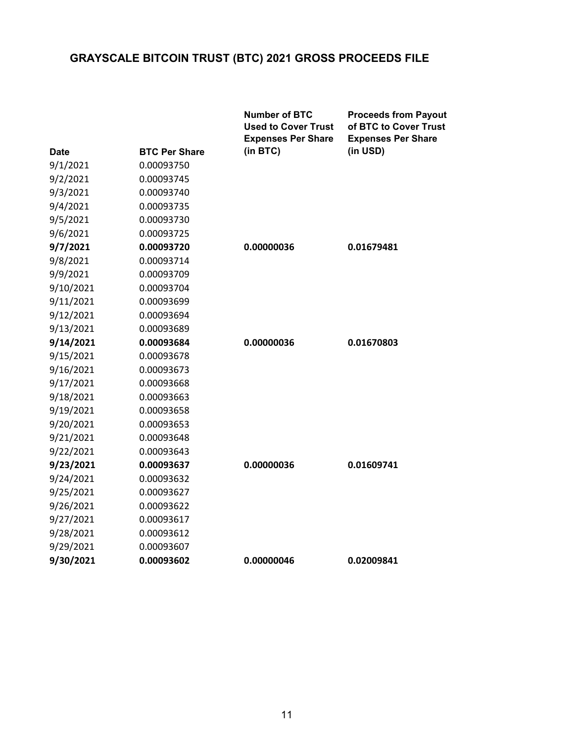|             |                      | <b>Number of BTC</b><br><b>Used to Cover Trust</b><br><b>Expenses Per Share</b> | <b>Proceeds from Payout</b><br>of BTC to Cover Trust<br><b>Expenses Per Share</b> |
|-------------|----------------------|---------------------------------------------------------------------------------|-----------------------------------------------------------------------------------|
| <b>Date</b> | <b>BTC Per Share</b> | (in BTC)                                                                        | (in USD)                                                                          |
| 9/1/2021    | 0.00093750           |                                                                                 |                                                                                   |
| 9/2/2021    | 0.00093745           |                                                                                 |                                                                                   |
| 9/3/2021    | 0.00093740           |                                                                                 |                                                                                   |
| 9/4/2021    | 0.00093735           |                                                                                 |                                                                                   |
| 9/5/2021    | 0.00093730           |                                                                                 |                                                                                   |
| 9/6/2021    | 0.00093725           |                                                                                 |                                                                                   |
| 9/7/2021    | 0.00093720           | 0.00000036                                                                      | 0.01679481                                                                        |
| 9/8/2021    | 0.00093714           |                                                                                 |                                                                                   |
| 9/9/2021    | 0.00093709           |                                                                                 |                                                                                   |
| 9/10/2021   | 0.00093704           |                                                                                 |                                                                                   |
| 9/11/2021   | 0.00093699           |                                                                                 |                                                                                   |
| 9/12/2021   | 0.00093694           |                                                                                 |                                                                                   |
| 9/13/2021   | 0.00093689           |                                                                                 |                                                                                   |
| 9/14/2021   | 0.00093684           | 0.00000036                                                                      | 0.01670803                                                                        |
| 9/15/2021   | 0.00093678           |                                                                                 |                                                                                   |
| 9/16/2021   | 0.00093673           |                                                                                 |                                                                                   |
| 9/17/2021   | 0.00093668           |                                                                                 |                                                                                   |
| 9/18/2021   | 0.00093663           |                                                                                 |                                                                                   |
| 9/19/2021   | 0.00093658           |                                                                                 |                                                                                   |
| 9/20/2021   | 0.00093653           |                                                                                 |                                                                                   |
| 9/21/2021   | 0.00093648           |                                                                                 |                                                                                   |
| 9/22/2021   | 0.00093643           |                                                                                 |                                                                                   |
| 9/23/2021   | 0.00093637           | 0.00000036                                                                      | 0.01609741                                                                        |
| 9/24/2021   | 0.00093632           |                                                                                 |                                                                                   |
| 9/25/2021   | 0.00093627           |                                                                                 |                                                                                   |
| 9/26/2021   | 0.00093622           |                                                                                 |                                                                                   |
| 9/27/2021   | 0.00093617           |                                                                                 |                                                                                   |
| 9/28/2021   | 0.00093612           |                                                                                 |                                                                                   |
| 9/29/2021   | 0.00093607           |                                                                                 |                                                                                   |
| 9/30/2021   | 0.00093602           | 0.00000046                                                                      | 0.02009841                                                                        |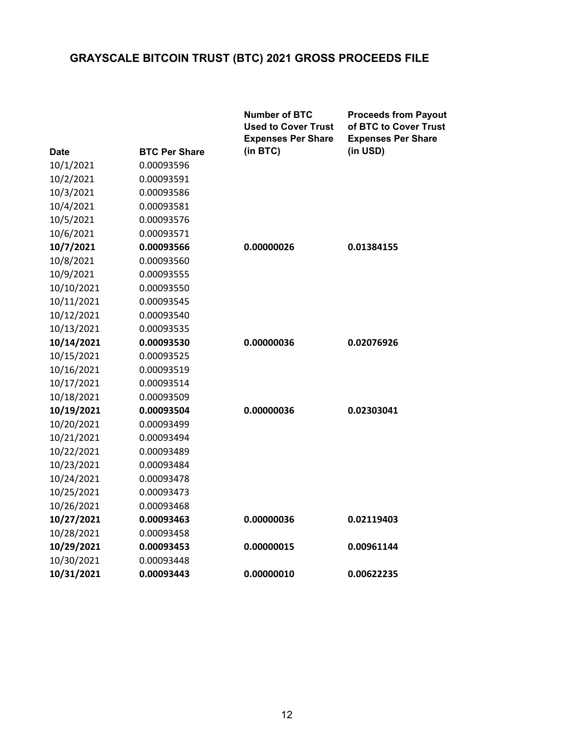|             |                      | <b>Number of BTC</b><br><b>Used to Cover Trust</b><br><b>Expenses Per Share</b> | <b>Proceeds from Payout</b><br>of BTC to Cover Trust<br><b>Expenses Per Share</b> |
|-------------|----------------------|---------------------------------------------------------------------------------|-----------------------------------------------------------------------------------|
| <b>Date</b> | <b>BTC Per Share</b> | (in BTC)                                                                        | (in USD)                                                                          |
| 10/1/2021   | 0.00093596           |                                                                                 |                                                                                   |
| 10/2/2021   | 0.00093591           |                                                                                 |                                                                                   |
| 10/3/2021   | 0.00093586           |                                                                                 |                                                                                   |
| 10/4/2021   | 0.00093581           |                                                                                 |                                                                                   |
| 10/5/2021   | 0.00093576           |                                                                                 |                                                                                   |
| 10/6/2021   | 0.00093571           |                                                                                 |                                                                                   |
| 10/7/2021   | 0.00093566           | 0.00000026                                                                      | 0.01384155                                                                        |
| 10/8/2021   | 0.00093560           |                                                                                 |                                                                                   |
| 10/9/2021   | 0.00093555           |                                                                                 |                                                                                   |
| 10/10/2021  | 0.00093550           |                                                                                 |                                                                                   |
| 10/11/2021  | 0.00093545           |                                                                                 |                                                                                   |
| 10/12/2021  | 0.00093540           |                                                                                 |                                                                                   |
| 10/13/2021  | 0.00093535           |                                                                                 |                                                                                   |
| 10/14/2021  | 0.00093530           | 0.00000036                                                                      | 0.02076926                                                                        |
| 10/15/2021  | 0.00093525           |                                                                                 |                                                                                   |
| 10/16/2021  | 0.00093519           |                                                                                 |                                                                                   |
| 10/17/2021  | 0.00093514           |                                                                                 |                                                                                   |
| 10/18/2021  | 0.00093509           |                                                                                 |                                                                                   |
| 10/19/2021  | 0.00093504           | 0.00000036                                                                      | 0.02303041                                                                        |
| 10/20/2021  | 0.00093499           |                                                                                 |                                                                                   |
| 10/21/2021  | 0.00093494           |                                                                                 |                                                                                   |
| 10/22/2021  | 0.00093489           |                                                                                 |                                                                                   |
| 10/23/2021  | 0.00093484           |                                                                                 |                                                                                   |
| 10/24/2021  | 0.00093478           |                                                                                 |                                                                                   |
| 10/25/2021  | 0.00093473           |                                                                                 |                                                                                   |
| 10/26/2021  | 0.00093468           |                                                                                 |                                                                                   |
| 10/27/2021  | 0.00093463           | 0.00000036                                                                      | 0.02119403                                                                        |
| 10/28/2021  | 0.00093458           |                                                                                 |                                                                                   |
| 10/29/2021  | 0.00093453           | 0.00000015                                                                      | 0.00961144                                                                        |
| 10/30/2021  | 0.00093448           |                                                                                 |                                                                                   |
| 10/31/2021  | 0.00093443           | 0.00000010                                                                      | 0.00622235                                                                        |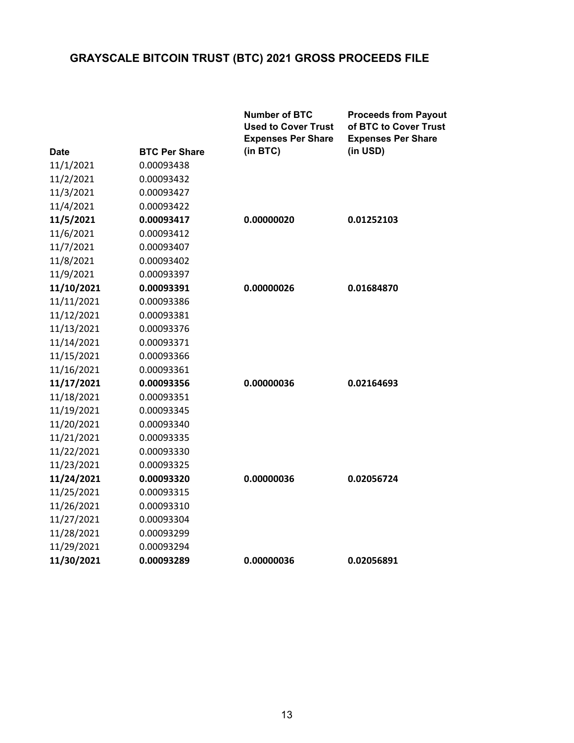|             |                      | <b>Number of BTC</b><br><b>Used to Cover Trust</b><br><b>Expenses Per Share</b> | <b>Proceeds from Payout</b><br>of BTC to Cover Trust<br><b>Expenses Per Share</b> |
|-------------|----------------------|---------------------------------------------------------------------------------|-----------------------------------------------------------------------------------|
| <b>Date</b> | <b>BTC Per Share</b> | (in BTC)                                                                        | (in USD)                                                                          |
| 11/1/2021   | 0.00093438           |                                                                                 |                                                                                   |
| 11/2/2021   | 0.00093432           |                                                                                 |                                                                                   |
| 11/3/2021   | 0.00093427           |                                                                                 |                                                                                   |
| 11/4/2021   | 0.00093422           |                                                                                 |                                                                                   |
| 11/5/2021   | 0.00093417           | 0.00000020                                                                      | 0.01252103                                                                        |
| 11/6/2021   | 0.00093412           |                                                                                 |                                                                                   |
| 11/7/2021   | 0.00093407           |                                                                                 |                                                                                   |
| 11/8/2021   | 0.00093402           |                                                                                 |                                                                                   |
| 11/9/2021   | 0.00093397           |                                                                                 |                                                                                   |
| 11/10/2021  | 0.00093391           | 0.00000026                                                                      | 0.01684870                                                                        |
| 11/11/2021  | 0.00093386           |                                                                                 |                                                                                   |
| 11/12/2021  | 0.00093381           |                                                                                 |                                                                                   |
| 11/13/2021  | 0.00093376           |                                                                                 |                                                                                   |
| 11/14/2021  | 0.00093371           |                                                                                 |                                                                                   |
| 11/15/2021  | 0.00093366           |                                                                                 |                                                                                   |
| 11/16/2021  | 0.00093361           |                                                                                 |                                                                                   |
| 11/17/2021  | 0.00093356           | 0.00000036                                                                      | 0.02164693                                                                        |
| 11/18/2021  | 0.00093351           |                                                                                 |                                                                                   |
| 11/19/2021  | 0.00093345           |                                                                                 |                                                                                   |
| 11/20/2021  | 0.00093340           |                                                                                 |                                                                                   |
| 11/21/2021  | 0.00093335           |                                                                                 |                                                                                   |
| 11/22/2021  | 0.00093330           |                                                                                 |                                                                                   |
| 11/23/2021  | 0.00093325           |                                                                                 |                                                                                   |
| 11/24/2021  | 0.00093320           | 0.00000036                                                                      | 0.02056724                                                                        |
| 11/25/2021  | 0.00093315           |                                                                                 |                                                                                   |
| 11/26/2021  | 0.00093310           |                                                                                 |                                                                                   |
| 11/27/2021  | 0.00093304           |                                                                                 |                                                                                   |
| 11/28/2021  | 0.00093299           |                                                                                 |                                                                                   |
| 11/29/2021  | 0.00093294           |                                                                                 |                                                                                   |
| 11/30/2021  | 0.00093289           | 0.00000036                                                                      | 0.02056891                                                                        |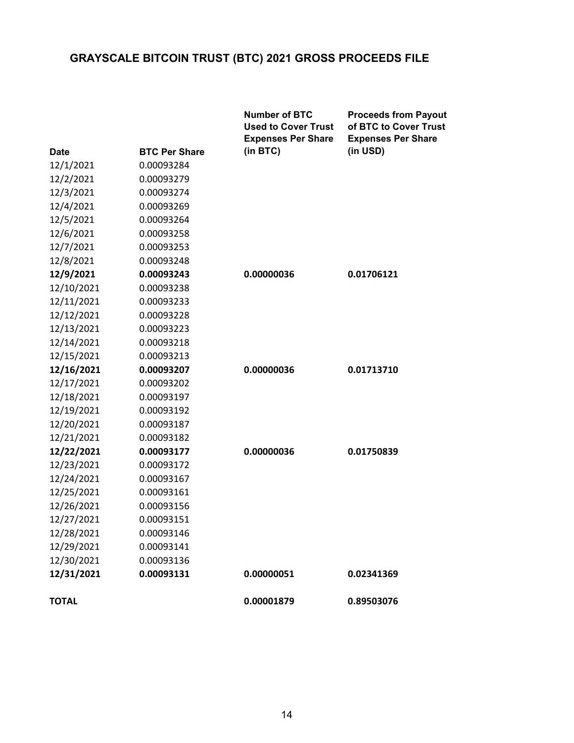|              |                      | <b>Number of BTC</b><br><b>Used to Cover Trust</b><br><b>Expenses Per Share</b> | <b>Proceeds from Payout</b><br>of BTC to Cover Trust<br><b>Expenses Per Share</b> |
|--------------|----------------------|---------------------------------------------------------------------------------|-----------------------------------------------------------------------------------|
| <b>Date</b>  | <b>BTC Per Share</b> | (in BTC)                                                                        | (in USD)                                                                          |
| 12/1/2021    | 0.00093284           |                                                                                 |                                                                                   |
| 12/2/2021    | 0.00093279           |                                                                                 |                                                                                   |
| 12/3/2021    | 0.00093274           |                                                                                 |                                                                                   |
| 12/4/2021    | 0.00093269           |                                                                                 |                                                                                   |
| 12/5/2021    | 0.00093264           |                                                                                 |                                                                                   |
| 12/6/2021    | 0.00093258           |                                                                                 |                                                                                   |
| 12/7/2021    | 0.00093253           |                                                                                 |                                                                                   |
| 12/8/2021    | 0.00093248           |                                                                                 |                                                                                   |
| 12/9/2021    | 0.00093243           | 0.00000036                                                                      | 0.01706121                                                                        |
| 12/10/2021   | 0.00093238           |                                                                                 |                                                                                   |
| 12/11/2021   | 0.00093233           |                                                                                 |                                                                                   |
| 12/12/2021   | 0.00093228           |                                                                                 |                                                                                   |
| 12/13/2021   | 0.00093223           |                                                                                 |                                                                                   |
| 12/14/2021   | 0.00093218           |                                                                                 |                                                                                   |
| 12/15/2021   | 0.00093213           |                                                                                 |                                                                                   |
| 12/16/2021   | 0.00093207           | 0.00000036                                                                      | 0.01713710                                                                        |
| 12/17/2021   | 0.00093202           |                                                                                 |                                                                                   |
| 12/18/2021   | 0.00093197           |                                                                                 |                                                                                   |
| 12/19/2021   | 0.00093192           |                                                                                 |                                                                                   |
| 12/20/2021   | 0.00093187           |                                                                                 |                                                                                   |
| 12/21/2021   | 0.00093182           |                                                                                 |                                                                                   |
| 12/22/2021   | 0.00093177           | 0.00000036                                                                      | 0.01750839                                                                        |
| 12/23/2021   | 0.00093172           |                                                                                 |                                                                                   |
| 12/24/2021   | 0.00093167           |                                                                                 |                                                                                   |
| 12/25/2021   | 0.00093161           |                                                                                 |                                                                                   |
| 12/26/2021   | 0.00093156           |                                                                                 |                                                                                   |
| 12/27/2021   | 0.00093151           |                                                                                 |                                                                                   |
| 12/28/2021   | 0.00093146           |                                                                                 |                                                                                   |
| 12/29/2021   | 0.00093141           |                                                                                 |                                                                                   |
| 12/30/2021   | 0.00093136           |                                                                                 |                                                                                   |
| 12/31/2021   | 0.00093131           | 0.00000051                                                                      | 0.02341369                                                                        |
| <b>TOTAL</b> |                      | 0.00001879                                                                      | 0.89503076                                                                        |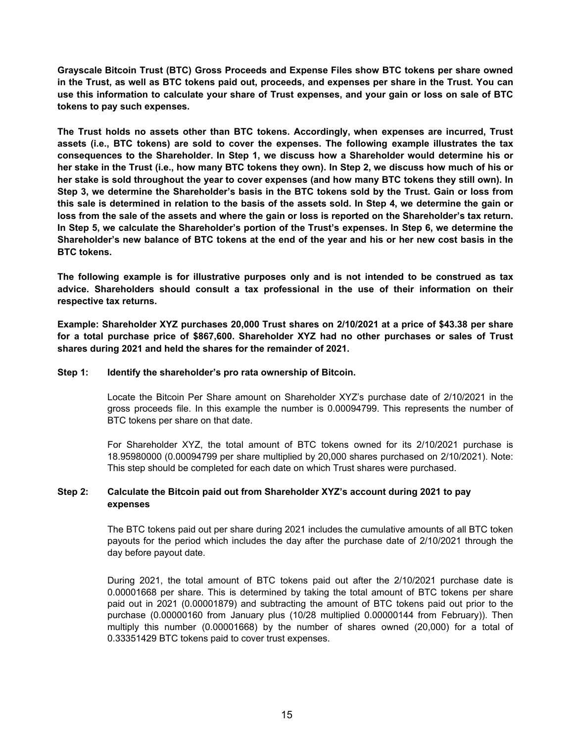**Grayscale Bitcoin Trust (BTC) Gross Proceeds and Expense Files show BTC tokens per share owned in the Trust, as well as BTC tokens paid out, proceeds, and expenses per share in the Trust. You can use this information to calculate your share of Trust expenses, and your gain or loss on sale of BTC tokens to pay such expenses.**

**The Trust holds no assets other than BTC tokens. Accordingly, when expenses are incurred, Trust assets (i.e., BTC tokens) are sold to cover the expenses. The following example illustrates the tax consequences to the Shareholder. In Step 1, we discuss how a Shareholder would determine his or her stake in the Trust (i.e., how many BTC tokens they own). In Step 2, we discuss how much of his or her stake is sold throughout the year to cover expenses (and how many BTC tokens they still own). In Step 3, we determine the Shareholder's basis in the BTC tokens sold by the Trust. Gain or loss from this sale is determined in relation to the basis of the assets sold. In Step 4, we determine the gain or loss from the sale of the assets and where the gain or loss is reported on the Shareholder's tax return. In Step 5, we calculate the Shareholder's portion of the Trust's expenses. In Step 6, we determine the Shareholder's new balance of BTC tokens at the end of the year and his or her new cost basis in the BTC tokens.**

**The following example is for illustrative purposes only and is not intended to be construed as tax advice. Shareholders should consult a tax professional in the use of their information on their respective tax returns.**

**Example: Shareholder XYZ purchases 20,000 Trust shares on 2/10/2021 at a price of \$43.38 per share for a total purchase price of \$867,600. Shareholder XYZ had no other purchases or sales of Trust shares during 2021 and held the shares for the remainder of 2021.**

#### **Step 1: Identify the shareholder's pro rata ownership of Bitcoin.**

Locate the Bitcoin Per Share amount on Shareholder XYZ's purchase date of 2/10/2021 in the gross proceeds file. In this example the number is 0.00094799. This represents the number of BTC tokens per share on that date.

For Shareholder XYZ, the total amount of BTC tokens owned for its 2/10/2021 purchase is 18.95980000 (0.00094799 per share multiplied by 20,000 shares purchased on 2/10/2021). Note: This step should be completed for each date on which Trust shares were purchased.

#### **Step 2: Calculate the Bitcoin paid out from Shareholder XYZ's account during 2021 to pay expenses**

The BTC tokens paid out per share during 2021 includes the cumulative amounts of all BTC token payouts for the period which includes the day after the purchase date of 2/10/2021 through the day before payout date.

During 2021, the total amount of BTC tokens paid out after the 2/10/2021 purchase date is 0.00001668 per share. This is determined by taking the total amount of BTC tokens per share paid out in 2021 (0.00001879) and subtracting the amount of BTC tokens paid out prior to the purchase (0.00000160 from January plus (10/28 multiplied 0.00000144 from February)). Then multiply this number (0.00001668) by the number of shares owned (20,000) for a total of 0.33351429 BTC tokens paid to cover trust expenses.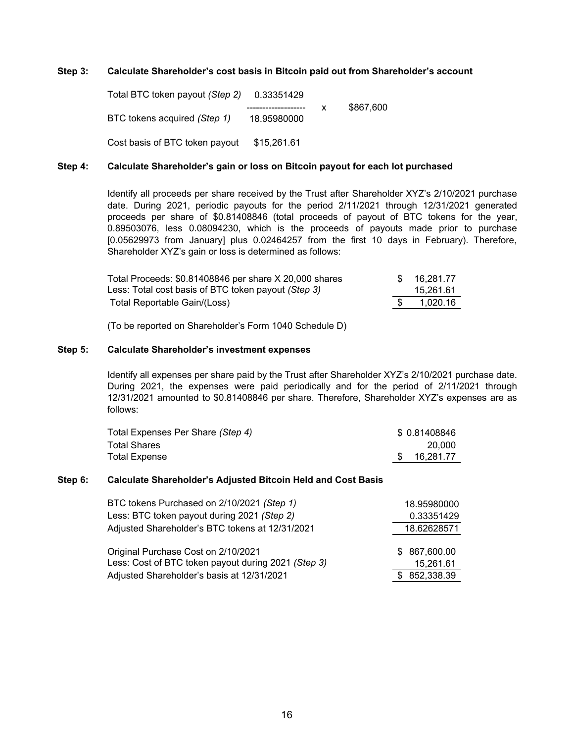#### **Step 3: Calculate Shareholder's cost basis in Bitcoin paid out from Shareholder's account**

Total BTC token payout *(Step 2)* 0.33351429 x \$867,600 BTC tokens acquired *(Step 1)* 18.95980000 Cost basis of BTC token payout \$15,261.61

#### **Step 4: Calculate Shareholder's gain or loss on Bitcoin payout for each lot purchased**

Identify all proceeds per share received by the Trust after Shareholder XYZ's 2/10/2021 purchase date. During 2021, periodic payouts for the period 2/11/2021 through 12/31/2021 generated proceeds per share of \$0.81408846 (total proceeds of payout of BTC tokens for the year, 0.89503076, less 0.08094230, which is the proceeds of payouts made prior to purchase [0.05629973 from January] plus 0.02464257 from the first 10 days in February). Therefore, Shareholder XYZ's gain or loss is determined as follows:

| Total Proceeds: \$0.81408846 per share X 20,000 shares_    | $\mathcal{S}$ | 16.281.77 |
|------------------------------------------------------------|---------------|-----------|
| Less: Total cost basis of BTC token payout <i>(Step 3)</i> |               | 15.261.61 |
| Total Reportable Gain/(Loss)                               |               | 1.020.16  |

(To be reported on Shareholder's Form 1040 Schedule D)

#### **Step 5: Calculate Shareholder's investment expenses**

Identify all expenses per share paid by the Trust after Shareholder XYZ's 2/10/2021 purchase date. During 2021, the expenses were paid periodically and for the period of 2/11/2021 through 12/31/2021 amounted to \$0.81408846 per share. Therefore, Shareholder XYZ's expenses are as follows:

| Total Expenses Per Share (Step 4) | \$0.81408846 |
|-----------------------------------|--------------|
| <b>Total Shares</b>               | 20.000       |
| <b>Total Expense</b>              | 16.281.77    |

#### **Step 6: Calculate Shareholder's Adjusted Bitcoin Held and Cost Basis**

| BTC tokens Purchased on 2/10/2021 (Step 1)          |  | 18.95980000   |
|-----------------------------------------------------|--|---------------|
| Less: BTC token payout during 2021 (Step 2)         |  | 0.33351429    |
| Adjusted Shareholder's BTC tokens at 12/31/2021     |  | 18.62628571   |
|                                                     |  |               |
| Original Purchase Cost on 2/10/2021                 |  | \$ 867,600.00 |
| Less: Cost of BTC token payout during 2021 (Step 3) |  | 15,261.61     |
| Adjusted Shareholder's basis at 12/31/2021          |  | \$852,338.39  |